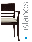



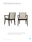## Islands, the beauty of solid wood.





Islands chairs feature contemporary curved lines and the beauty of solid wood. Islands, $\mathbb{M}$  is affordable, comfortable and inviting. A wide selection of wood finishes are available to match other Global wood and laminate finishes.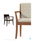

Wood Back